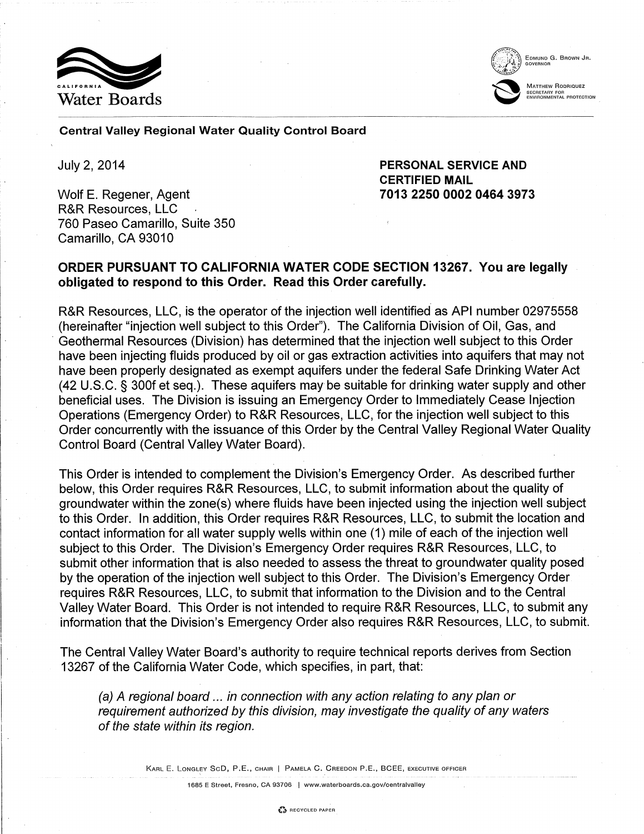



EDMUND G. BROWN JR.

MATTHEW RODRIQUEZ MATTHEW RODRIQUEZ<br>
SECRETARY FOR ENVIRONMENTAL PROTECTION

Central Valley Regional Water Quality Control Board

July 2, 2014

Wolf E. Regener, Agent R&R Resources, LLC 760 Paseo Camarillo, Suite 350 Camarillo, CA 93010

PERSONAL SERVICE AND CERTIFIED MAIL 7013 2250 0002 0464 3973

# ORDER PURSUANT TO CALIFORNIA WATER CODE SECTION 13267. You are legally obligated to respond to this Order. Read this Order carefully.

R&R Resources, LLC, is the operator of the injection well identified as API number 02975558 (hereinafter "injection well subject to this Order"). The California Division of Oil, Gas, and · Geothermal Resources (Division) has determined that the injection well subject to this Order have been injecting fluids produced by oil or gas extraction activities into aquifers that may not have been properly designated as exempt aquifers under the federal Safe Drinking Water Act (42 U.S.C. § 300f et seq.). These aquifers may be suitable for drinking water supply and other beneficial uses. The Division is issuing an Emergency Order to Immediately Cease Injection Operations (Emergency Order) to R&R Resources, LLC, for the injection well subject to this Order concurrently with the issuance of this Order by the Central Valley Regional Water Quality Control Board (Central Valley Water Board).

This Order is intended to complement the Division's Emergency Order. As described further below, this Order requires R&R Resources, LLC, to submit information about the quality of groundwater within the zone(s) where fluids have been injected using the injection well subject to this Order. In addition, this Order requires R&R Resources, LLC, to submit the location and contact information for all water supply wells within one (1) mile of each of the injection well subject to this Order. The Division's Emergency Order requires R&R Resources, LLC, to submit other information that is also needed to assess the threat to groundwater quality posed by the operation of the injection well subject to this Order. The Division's Emergency Order requires R&R Resources, LLC, to submit that information to the Division and to the Central Valley Water Board. This Order is not intended to require R&R Resources, LLC, to submit any information that the Division's Emergency Order also requires R&R Resources, LLC, to submit.

The Central Valley Water Board's authority to require technical reports derives from Section 13267 of the California Water Code, which specifies, in part, that:

(a) A regional board ... in connection with any action relating to any plan or requirement authorized by this division, may investigate the quality of any waters of the state within its region.

KARL E. LONGLEY SCD, P.E., CHAIR | PAMELA C. CREEDON P.E., BCEE, EXECUTIVE OFFICER

1685 E Street, Fresno, CA 93706 | www.waterboards.ca.gov/centralvalley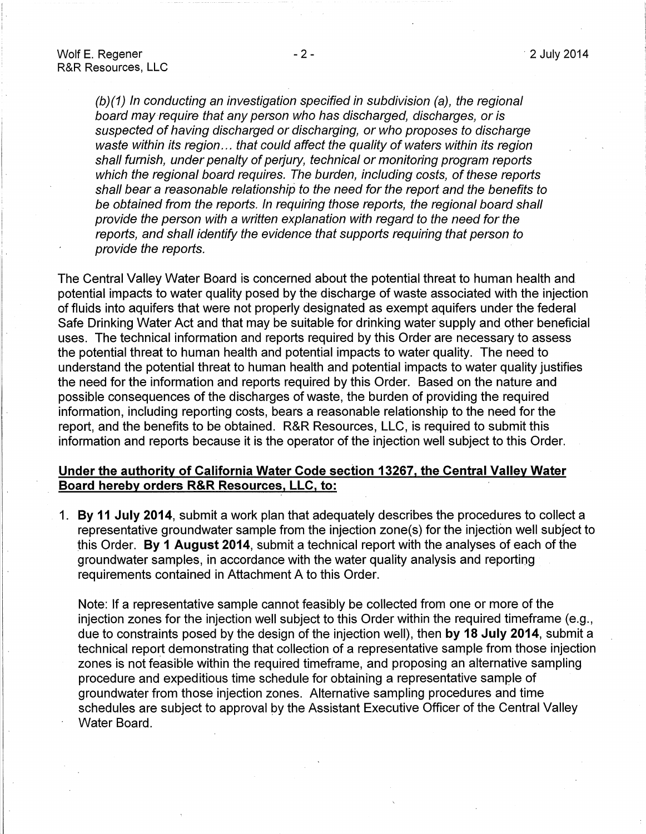i.

(b)(1) In conducting an investigation specified in subdivision (a), the regional board may-require that any person who has discharged, discharges, or is suspected of having discharged or discharging, or who proposes to discharge waste within its region... that could affect the quality of waters within its region shall furnish, under penalty of perjury, technical or monitoring program reports which the regional board requires. The burden, including costs, of these reports shall bear a reasonable relationship to the need for the report and the benefits to be obtained from the reports. In requiring those reports, the regional board shall provide the person with a written explanation with regard to the need for the reports, and shall identify the evidence that supports requiring that person to provide the reports.

The Central Valley Water Board is concerned about the potential threat to human health and potential impacts to water quality posed by the discharge of waste associated with the injection of fluids into aquifers that were not properly designated as exempt aquifers under the federal Safe Drinking Water Act and that may be suitable for drinking water supply and other beneficial uses. The technical information and reports required by this Order are necessary to assess the potential threat to human health and potential impacts to water quality. The need to understand the potential threat to human health and potential impacts to water quality justifies the need for the information and reports required by this Order. Based on the nature and possible consequences of the discharges of waste, the burden of providing the required information, including reporting costs, bears a reasonable relationship to the need for the report, and the benefits to be obtained. R&R Resources, LLC, is required to submit this information and reports because it is the operator of the injection well subject to this Order.

### **Under the authority of California Water Code section 13267, the Central Valley Water Board hereby orders R&R Resources, LLC, to:**

**1. By 11 July 2014,** submit a work plan that adequately describes the procedures to collect a representative groundwater sample from the injection zone(s) for the injection well subject to this Order. **By 1 August 2014,** submit a technical report with the analyses of each of the groundwater samples, in accordance with the water quality analysis and reporting requirements contained in Attachment A to this Order.

Note: If a representative sample cannot feasibly be collected from one or more of the injection zones for the injection well subject to this Order within the required timeframe (e.g., due to constraints posed by the design of the injection well), then **by 18 July 2014,** submit a technical report demonstrating that collection of a representative sample from those injection zones is not feasible within the required timeframe, and proposing an alternative sampling procedure and expeditious time schedule for obtaining a representative sample of groundwater from those injection zones. Alternative sampling procedures and time schedules are subject to approval by the Assistant Executive Officer of the Central Valley Water Board.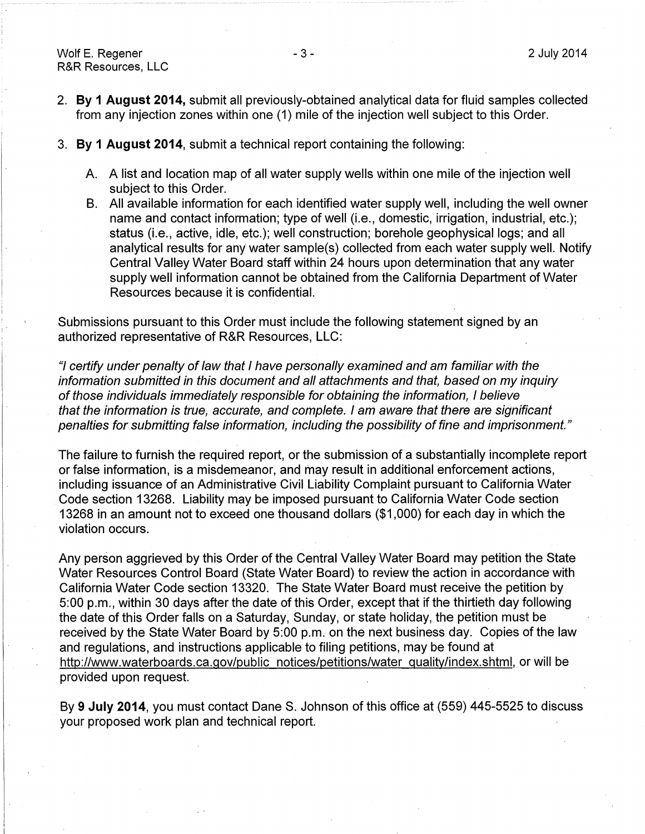I.

- 2. **By 1 August 2014,** submit all previously-obtained analytical data for fluid samples collected from any injection zones within one (1) mile of the injection well subject to this Order.
- 3. **By 1 August 2014,** submit a technical report containing the following:
	- A. A list and location map of all water supply wells within one mile of the injection well subject to this Order.
	- B. All available information for each identified water supply well, including the well owner name and contact information; type of well (i.e., domestic, irrigation, industrial, etc.); status (i.e., active, idle, etc.); well construction; borehole geophysical logs; and all analytical results for any water sample(s) collected from each water supply well. Notify Central Valley Water Board staff within 24 hours upon determination that any water supply well information cannot be obtained from the California Department of Water Resources because it is confidential.

Submissions pursuant to this Order must include the following statement signed by an authorized representative of R&R Resources, LLC:

"I certify under penalty of law that I have personally examined and am familiar with the information submitted in this document and all attachments and that, based on my inquiry of those individuals immediately responsible for obtaining the information, I believe that the information is true, accurate, and complete. I am aware that there are significant penalties for submitting false information, including the possibility of fine and imprisonment."

The failure to furnish the required report, or the submission of a substantially incomplete report or false information, is a misdemeanor, and may result in additional enforcement actions, including issuance of an Administrative Civil Liability Complaint pursuant to California Water . Code section 13268. Liability may be imposed pursuant to California Water Code section 13268 in an amount not to exceed one thousand dollars (\$1 ,000) for each day in which the violation occurs.

Any person aggrieved by this Order of the Central Valley Water Board may petition the State Water Resources Control Board (State Water Board) to review the action in accordance with California Water Code section 13320. The State Water Board must receive the petition by 5:00 p.m., within 30 days after the date of this Order, except that if the thirtieth day following the date of this Order falls on a Saturday, Sunday, or state holiday, the petition must be received by the State Water Board by 5:00 p.m. on the next business day. Copies of the law and regulations, and instructions applicable to filing petitions, may be found at http://www.waterboards.ca.gov/public notices/petitions/water quality/index.shtml, or will be provided upon request.

By 9 July 2014, you must contact Dane S. Johnson of this office at (559) 445-5525 to discuss your proposed work plan and technical report.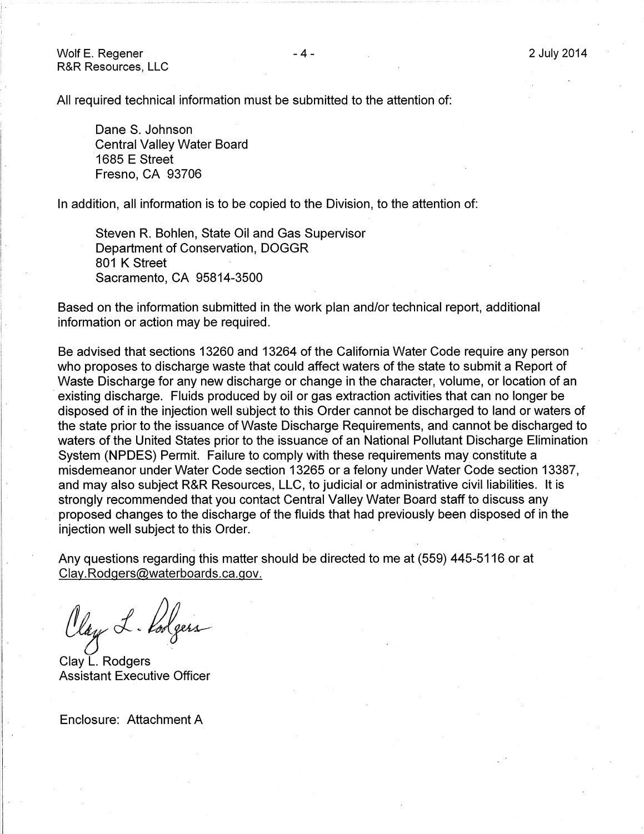Wolf E. Regener R&R Resources, LLC

All required technical information must be submitted to the attention of:

Dane S. Johnson Central Valley Water Board 1685 E Street Fresno, CA 93706

In addition, all information is to be copied to the Division, to the attention of:

Steven R. Bohlen, State Oil and Gas Supervisor Department of Conservation, DOGGR 801 K Street Sacramento, CA 95814-3500

Based on the information submitted in the work plan and/or technical report, additional information or action may be required.

Be advised that sections 13260 and 13264 of the California Water Code require any person who proposes to discharge waste that could affect waters of the state to submit a Report of Waste Discharge for any new discharge or change in the character, volume, or location of an existing discharge. Fluids produced by oil or gas extraction activities that can no longer be disposed of in the injection well subject to this Order cannot be discharged to land or waters of the state prior to the issuance of Waste Discharge Requirements, and cannot be discharged to waters of the United States prior to the issuance of an National Pollutant Discharge Elimination System (NPDES) Permit. Failure to comply with these requirements may constitute a misdemeanor under Water Code section 13265 or a felony under Water Code section 13387, and may also subject R&R Resources, LLC, to judicial or administrative civil liabilities. It is strongly recommended that you contact Central Valley Water Board staff to discuss any proposed changes to the discharge of the fluids that had previously been disposed of in the injection well subject to this Order.

Any questions regarding this matter should be directed to me at (559) 445-5116 or at Clay.Rodgers@waterboards.ca.gov.

Olay L. Poolgers

Clay L. Rodgers Assistant Executive Officer

Enclosure: Attachment A